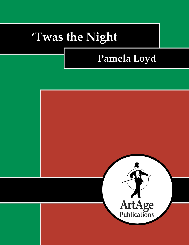# **'Twas the Night**

## **Pamela Loyd**

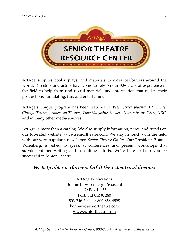

ArtAge supplies books, plays, and materials to older performers around the world. Directors and actors have come to rely on our 30+ years of experience in the field to help them find useful materials and information that makes their productions stimulating, fun, and entertaining.

ArtAge's unique program has been featured in *Wall Street Journal*, *LA Times*, *Chicago Tribune*, *American Theatre*, *Time Magazine*, *Modern Maturity*, on *CNN*, *NBC*, and in many other media sources.

ArtAge is more than a catalog. We also supply information, news, and trends on our top-rated website, www.seniortheatre.com. We stay in touch with the field with our very popular e-newsletter, *Senior Theatre Online*. Our President, Bonnie Vorenberg, is asked to speak at conferences and present workshops that supplement her writing and consulting efforts. We're here to help you be successful in Senior Theatre!

## *We help older performers fulfill their theatrical dreams!*

ArtAge Publications Bonnie L. Vorenberg, President PO Box 19955 Portland OR 97280 503-246-3000 or 800-858-4998 bonniev@seniortheatre.com www.seniortheatre.com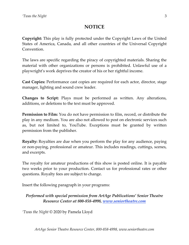## **NOTICE**

**Copyright:** This play is fully protected under the Copyright Laws of the United States of America, Canada, and all other countries of the Universal Copyright Convention.

The laws are specific regarding the piracy of copyrighted materials. Sharing the material with other organizations or persons is prohibited. Unlawful use of a playwright's work deprives the creator of his or her rightful income.

**Cast Copies:** Performance cast copies are required for each actor, director, stage manager, lighting and sound crew leader.

**Changes to Script:** Plays must be performed as written. Any alterations, additions, or deletions to the text must be approved.

**Permission to Film:** You do not have permission to film, record, or distribute the play in any medium. You are also not allowed to post on electronic services such as, but not limited to, YouTube. Exceptions must be granted by written permission from the publisher.

**Royalty:** Royalties are due when you perform the play for any audience, paying or non-paying, professional or amateur. This includes readings, cuttings, scenes, and excerpts.

The royalty for amateur productions of this show is posted online. It is payable two weeks prior to your production. Contact us for professional rates or other questions. Royalty fees are subject to change.

Insert the following paragraph in your programs:

### *Performed with special permission from ArtAge Publications' Senior Theatre Resource Center at 800-858-4998, www.seniortheatre.com*

*'Twas the Night* © 2020 by Pamela Lloyd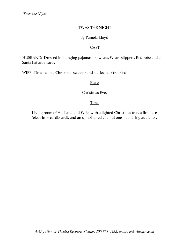#### 'TWAS THE NIGHT

#### By Pamela Lloyd

#### CAST

HUSBAND: Dressed in lounging pajamas or sweats. Wears slippers. Red robe and a Santa hat are nearby.

WIFE: Dressed in a Christmas sweater and slacks, hair frazzled.

#### Place

Christmas Eve.

#### Time

Living room of Husband and Wife, with a lighted Christmas tree, a fireplace (electric or cardboard), and an upholstered chair at one side facing audience.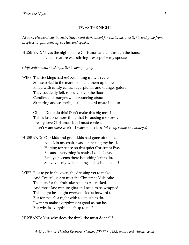#### 'TWAS THE NIGHT

At rise*: Husband sits in chair. Stage semi-dark except for Christmas tree lights and glow from fireplace. Lights come up as Husband speaks.*

HUSBAND: 'Twas the night before Christmas and all through the house, Not a creature was stirring—except for my spouse.

*(Wife enters with stockings, lights now fully up).*

WIFE: The stockings had *not* been hung up with care, So I scurried to the mantel to hang them up there. Filled with candy canes, sugarplums, and oranges galore, They suddenly fell, rolled all over the floor. Candies and oranges went bouncing about, Skittering and scattering—then I heard myself shout:

> Oh no! Don't do this! Don't make this big mess! This is just one more thing that is causing me stress. I really love Christmas, but I must confess I don't want *more* work—I want to do less. *(picks up candy and oranges)*

HUSBAND: Our kids and grandkids had gone off to bed, And I, in my chair, was just resting my head. Hoping for peace on this quiet Christmas Eve, Because everything is ready, I do believe. Really, it seems there is nothing left to do, So why is my wife making such a hullabaloo?

WIFE: Pies to go in the oven, the dressing yet to make, And I've still got to frost the Christmas Yule cake. The nuts for the fruitcake need to be cracked, And those last-minute gifts still need to be wrapped. This might be a night everyone looks forward to, But for me it's a night with too much to do. I want to make everything as good as can be, But why is everything left up to me?

HUSBAND: Yes, why does she think she must do it all?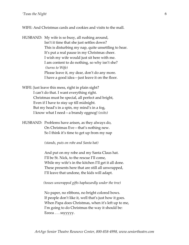WIFE: And Christmas cards and cookies and visits to the mall.

HUSBAND: My wife is so busy, all rushing around, Isn't it time that she just settles down? This is disturbing my nap, quite unsettling to hear. It's put a real pause in my Christmas cheer. I wish my wife would just sit here with me. I am content to do nothing, so why isn't she? *(turns to Wife)* Please leave it, my dear, don't do any more. I have a good idea—just leave it on the floor.

WIFE: Just leave this mess, right in plain sight? I can't do that. I want everything right. Christmas must be special, all perfect and bright, Even if I have to stay up till midnight. But my head's in a spin, my mind's in a fog, I know what I need—a brandy eggnog! *(exits)*

HUSBAND: Problems have arisen, as they always do, On Christmas Eve—that's nothing new. So I think it's time to get up from my nap

*(stands, puts on robe and Santa hat)*

And put on my robe and my Santa Claus hat. I'll be St. Nick, to the rescue I'll come, While my wife's in the kitchen I'll get it all done. These presents here that are still all unwrapped, I'll leave that undone, the kids will adapt.

#### *(tosses unwrapped gifts haphazardly under the tree)*

No paper, no ribbons, no bright colored bows. If people don't like it, well that's just how it goes. When Papa does Christmas, when it's left up to me, I'm going to do Christmas the way it should be: Eeeea . . . ssyyyyy.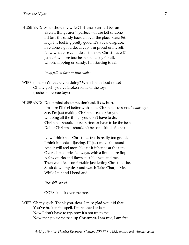HUSBAND: So to show my wife Christmas can still be fun Even if things aren't perfect – or are left undone, I'll toss the candy back all over the place. *(does this)* Hey, it's looking pretty good. It's a real disgrace. I've done a good deed; yep, I'm proud of myself. Now what else can I do as the new Christmas elf? Just a few more touches to make joy for all. Uh-oh, slipping on candy, I'm starting to fall.

*(may fall on floor or into chair)*

- WIFE: (enters) What are you doing? What is that loud noise? Oh my gosh, you've broken some of the toys. (rushes to rescue toys)
- HUSBAND: Don't mind about *me*, don't ask if *I'm* hurt. I'm sure I'll feel better with some Christmas dessert. *(stands up)* See, I'm just making Christmas easier for you. Undoing all the things you don't have to do. Christmas shouldn't be perfect or have to be the best. Doing Christmas shouldn't be some kind of a test.

Now I think this Christmas tree is really too grand. I think it needs adjusting, I'll just move the stand. And it will feel more like us if it bends at the top, Over a bit, a little sideways, with a little more flop. A few quirks and flaws, just like you and me, Then we'll feel comfortable just letting Christmas be. So sit down my dear and watch Take-Charge-Me, While I tilt and I bend and

*(tree falls over)*

OOPS! knock over the tree.

WIFE: Oh my gosh! Thank you, dear. I'm so glad you did that! You've broken the spell. I'm released at last. Now I don't have to try, now it's not up to me. Now that *you've* messed up Christmas, I am free, I am free.